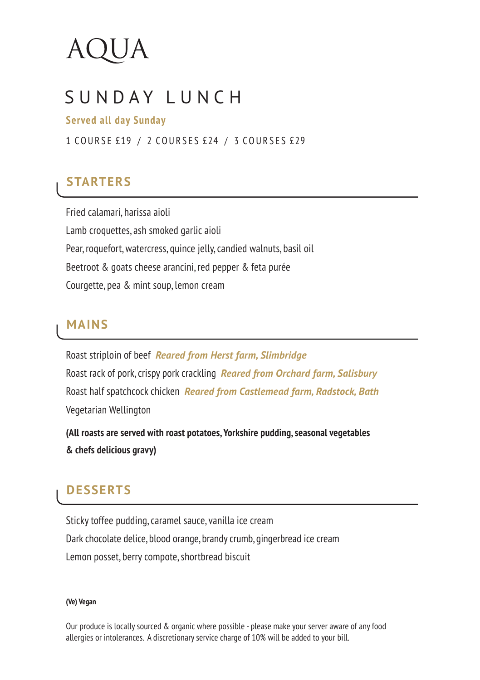# SUNDAY LUNCH

#### **Served all day Sunday**

1 COURSE £19 / 2 COURSES £24 / 3 COURSES £29

## **STARTERS**

Fried calamari, harissa aioli Lamb croquettes, ash smoked garlic aioli Pear, roquefort, watercress, quince jelly, candied walnuts, basil oil Beetroot & goats cheese arancini, red pepper & feta purée Courgette, pea & mint soup, lemon cream

#### **MAINS**

Roast striploin of beef *Reared from Herst farm, Slimbridge* Roast rack of pork, crispy pork crackling *Reared from Orchard farm, Salisbury* Roast half spatchcock chicken *Reared from Castlemead farm, Radstock, Bath* Vegetarian Wellington

**(All roasts are served with roast potatoes, Yorkshire pudding, seasonal vegetables & chefs delicious gravy)**

## **DESSERTS**

Sticky toffee pudding, caramel sauce, vanilla ice cream Dark chocolate delice, blood orange, brandy crumb, gingerbread ice cream Lemon posset, berry compote, shortbread biscuit

#### **(Ve) Vegan**

Our produce is locally sourced & organic where possible - please make your server aware of any food allergies or intolerances. A discretionary service charge of 10% will be added to your bill.